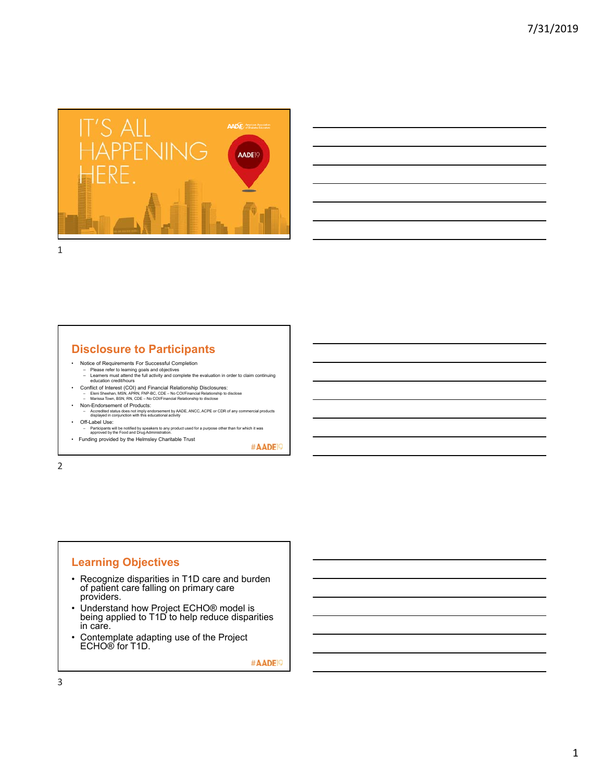

### **Disclosure to Participants**

- 
- Notice of Requirements For Successful Completion Please refer to learning goals and objectives Learners must attend the full activity and complete the evaluation in order to claim continuing education credit/hours
- Conflict of Interest (COI) and Financial Relationship Disclosures:<br>- Eleni Sheehan, MSN, APRN, FNP-BC, CDE No COl/Financial Relationship to disclose<br>- Marissa Town, BSN, RN, CDE No COl/Financial Relationship to disc
- Non-Endorsement of Products: Accredited status does not imply endorsement by AADE, ANCC, ACPE or CDR of any commercial products displayed in conjunction with this educational activity
- Off-Label Use:
- Participants will be notified by speakers to any product used for a purpose other than for which it was approved by the Food and Drug Administration. • Funding provided by the Helmsley Charitable Trust

#AADE<sup>19</sup>

2

## **Learning Objectives**

- Recognize disparities in T1D care and burden of patient care falling on primary care providers.
- Understand how Project ECHO® model is being applied to T1D to help reduce disparities in care.
- Contemplate adapting use of the Project ECHO® for T1D.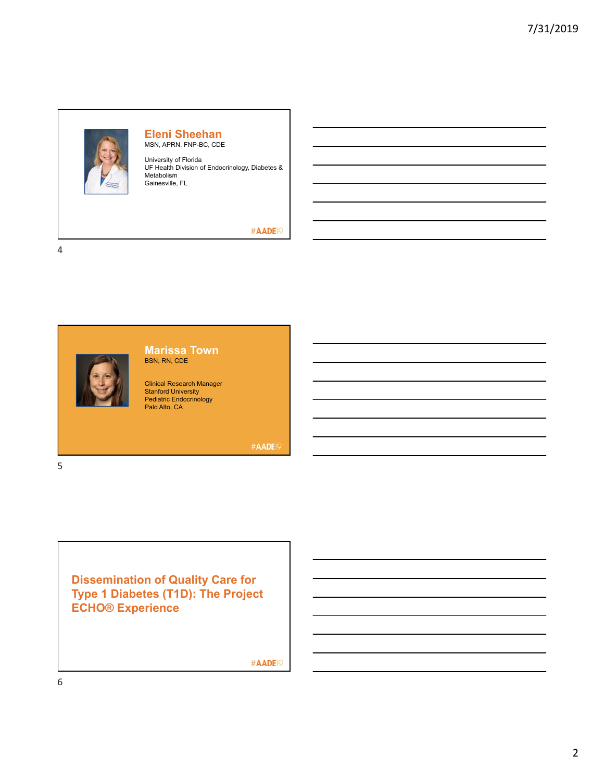

#### **Eleni Sheehan** MSN, APRN, FNP-BC, CDE

University of Florida UF Health Division of Endocrinology, Diabetes & Metabolism Gainesville, FL

#### #AADE<sup>19</sup>

4

5



#### **Marissa Town** BSN, RN, CDE

Clinical Research Manager Stanford University Pediatric Endocrinology Palo Alto, CA

#AADE19

**Dissemination of Quality Care for Type 1 Diabetes (T1D): The Project ECHO® Experience**

#AADE<sup>19</sup>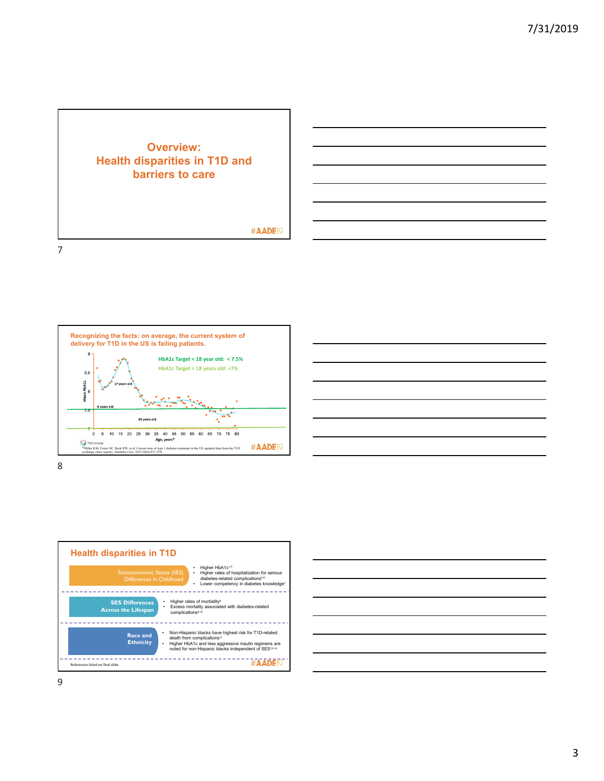# **Overview: Health disparities in T1D and barriers to care**

#### #AADE<sup>19</sup>







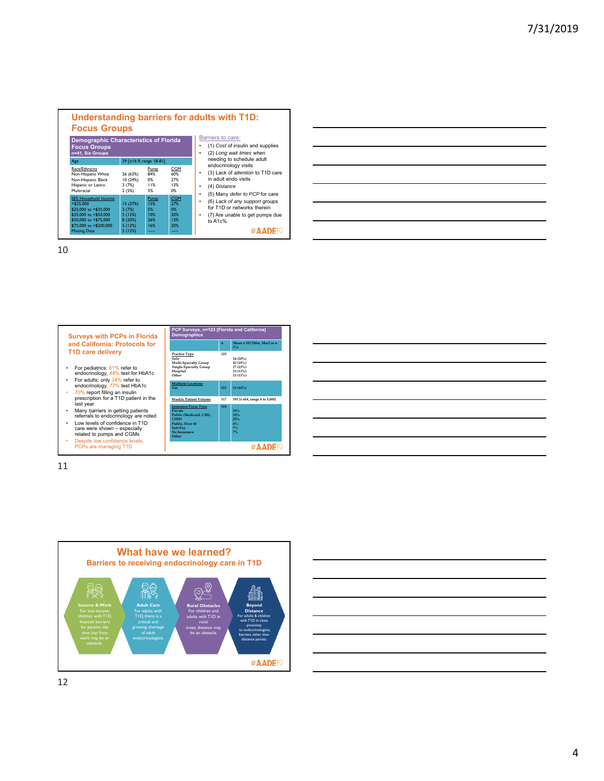|                                                                                                                                                                          | <b>Demographic Characteristics of Florida</b><br><b>Focus Groups</b><br>n=41, Six Groups |                                                 |                                                       |  |  |
|--------------------------------------------------------------------------------------------------------------------------------------------------------------------------|------------------------------------------------------------------------------------------|-------------------------------------------------|-------------------------------------------------------|--|--|
| Age                                                                                                                                                                      | 39 [±16.9; range 18-81]                                                                  |                                                 |                                                       |  |  |
| Race/Ethnicity<br>Non-Hispanic White<br>Non-Hispanic Black<br>Hispanic or Latino<br>Multiracial                                                                          | 26 (63%)<br>10(24%)<br>3(7%)<br>2(5%)                                                    | Pump<br>84%<br>0%<br>11%<br>5%                  | CGM<br>60%<br>27%<br>13%<br>0%                        |  |  |
| <b>SES: Household Income</b><br>$<$ \$25.000<br>\$25,000 to <\$35,000<br>\$35,000 to <\$50,000<br>\$50,000 to <\$75,000<br>\$75,000 to <\$200,000<br><b>Missing Data</b> | 15 (37%)<br>3(7%)<br>5(12%)<br>8(20%)<br>5(12%)<br>5(12%)                                | Pump<br>15%<br>5%<br>10%<br>26%<br>16%<br>----- | <b>CGM</b><br>27%<br>0%<br>20%<br>13%<br>20%<br>----- |  |  |







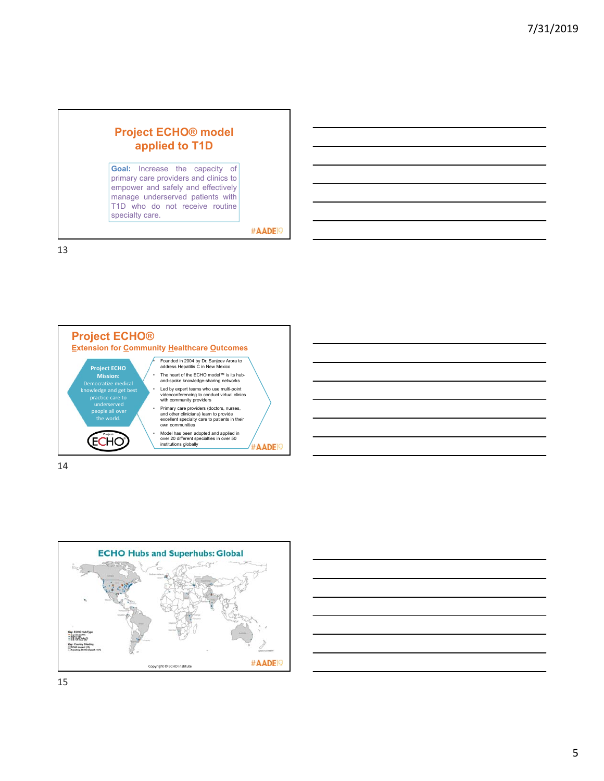## **Project ECHO® model applied to T1D Goal:** Increase the capacity of primary care providers and clinics to empower and safely and effectively manage underserved patients with T1D who do not receive routine specialty care. #AADE<sup>19</sup>

13



14



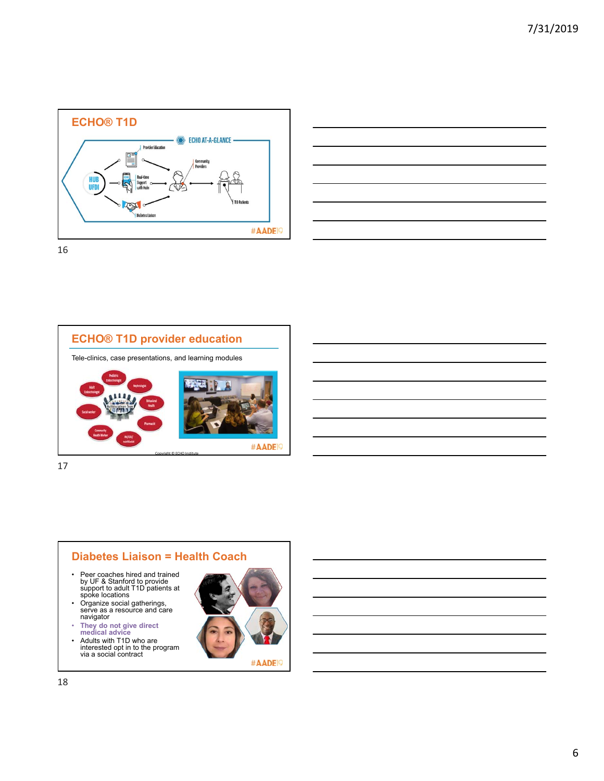





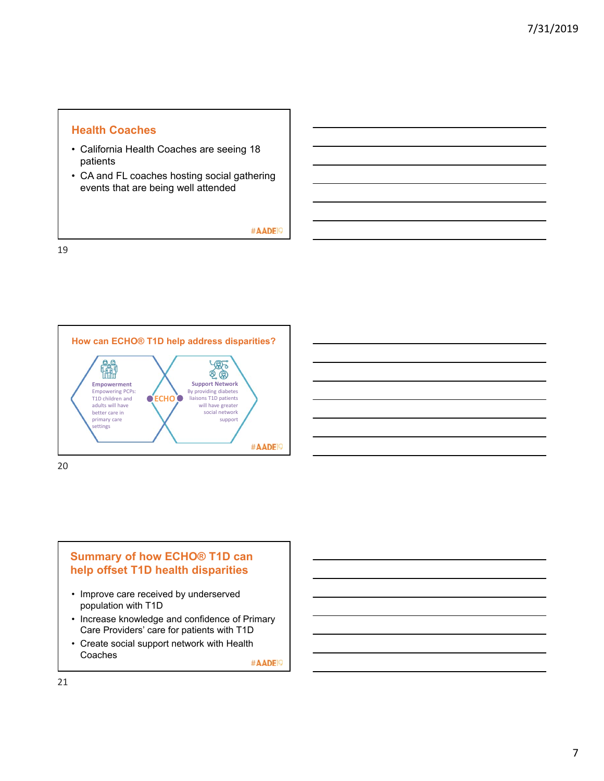#### **Health Coaches**

- California Health Coaches are seeing 18 patients
- CA and FL coaches hosting social gathering events that are being well attended

#AADE<sup>19</sup>

19





## **Summary of how ECHO® T1D can help offset T1D health disparities**

- Improve care received by underserved population with T1D
- Increase knowledge and confidence of Primary Care Providers' care for patients with T1D
- Create social support network with Health Coaches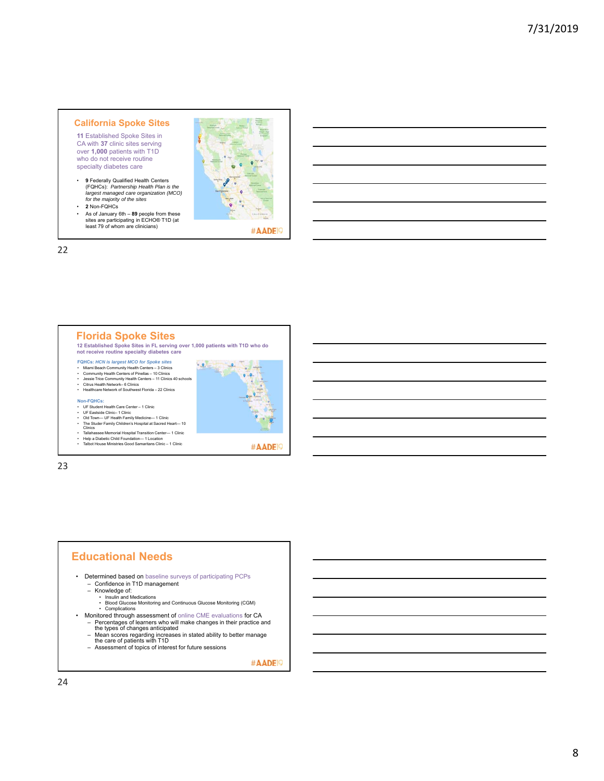#### **California Spoke Sites**

**11** Established Spoke Sites in CA with **37** clinic sites serving over **1,000** patients with T1D who do not receive routine specialty diabetes care

- **9** Federally Qualified Health Centers (FQHCs): *Partnership Health Plan is the largest managed care organization (MCO) for the majority of the sites*  • **2** Non-FQHCs
- As of January 6th **89** people from these sites are participating in ECHO® T1D (at least 79 of whom are clinicians)



#AADE<sup>19</sup>

22



#### **Educational Needs**

- Determined based on baseline surveys of participating PCPs Confidence in T1D management
	-
	-
	- Knowledge of: Insulin and Medications Blood Glucose Monitoring and Continuous Glucose Monitoring (CGM) Complications
- Monitored through assessment of online CME evaluations for CA
	- Percentages of learners who will make changes in their practice and the types of changes anticipated – Mean scores regarding increases in stated ability to better manage the care of patients with T1D
	-
	- Assessment of topics of interest for future sessions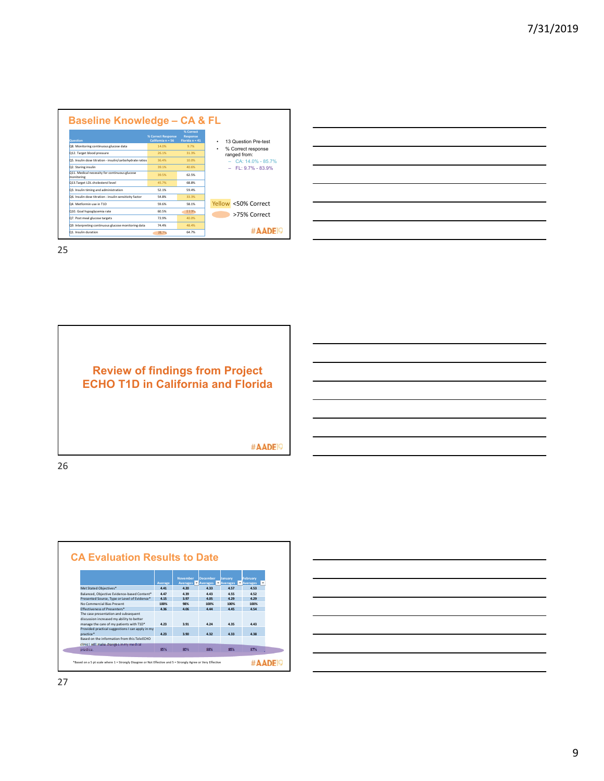| <b>Question</b>                                             | % Correct Response<br>California n = 56 | % Correct<br><b>Response</b><br>Florida $n = 41$ | 13 Question Pre-test<br>٠ |  |
|-------------------------------------------------------------|-----------------------------------------|--------------------------------------------------|---------------------------|--|
| Q8. Monitoring continuous glucose data                      | 14.0%                                   | 9.7%                                             | % Correct response<br>٠   |  |
| Q12. Target blood pressure                                  | 26.1%                                   | 31.3%                                            | ranged from:              |  |
| Q5. Insulin dose titration - insulin/carbohydrate ratios    | 36.4%                                   | 10.0%                                            | CA: 14.0% - 85.7%         |  |
| Q2. Staring insulin                                         | 39 1%                                   | 40.6%                                            | $-$ FL: 9.7% - 83.9%      |  |
| Q11. Medical necessity for continuous glucose<br>monitoring | 39.5%                                   | 62.5%                                            |                           |  |
| Q13.Target LDL cholesterol level                            | 45.7%                                   | 68.8%                                            |                           |  |
| Q3. Insulin timing and administration                       | 52.1%                                   | 59.4%                                            |                           |  |
| Q6. Insulin dose titration - insulin sensitivity factor     | 54.8%                                   | 33.3%                                            |                           |  |
| O4 Metformin use in T1D                                     | 59.6%                                   | 58.1%                                            | Yellow <50% Correct       |  |
| Q10. Goal hypoglycemia rate                                 | 60.5%                                   | 33.9%                                            | >75% Correct              |  |
| Q7. Post meal glucose targets                               | 77 9%                                   | 40.0%                                            |                           |  |
| Q9. Interpreting continuous glucose monitoring data         | 74 4%                                   | 48.4%                                            |                           |  |
| 01 Insulin duration                                         | 85.7%                                   | 64.7%                                            |                           |  |

| <u>. In the contract of the contract of the contract of the contract of the contract of the contract of the contract of the contract of the contract of the contract of the contract of the contract of the contract of the cont</u> |  |  |
|--------------------------------------------------------------------------------------------------------------------------------------------------------------------------------------------------------------------------------------|--|--|
|                                                                                                                                                                                                                                      |  |  |
| the contract of the contract of the contract of the contract of                                                                                                                                                                      |  |  |
| <u> London a componente de la componente de la componente de la componente de la componente de la componente de la</u>                                                                                                               |  |  |
|                                                                                                                                                                                                                                      |  |  |
|                                                                                                                                                                                                                                      |  |  |
| <u>. In the contract of the contract of the contract of the contract of the contract of the contract of the contract of the contract of the contract of the contract of the contract of the contract of the contract of the cont</u> |  |  |
|                                                                                                                                                                                                                                      |  |  |





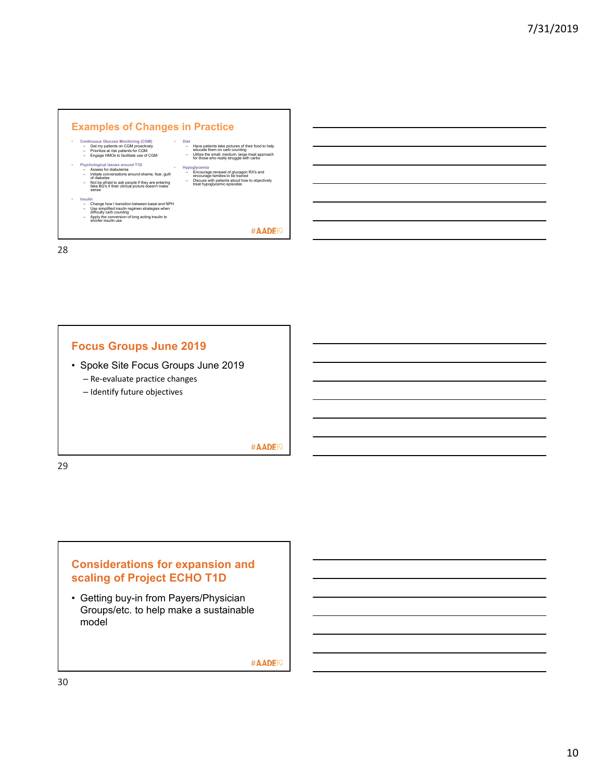

#### **Focus Groups June 2019**

• Spoke Site Focus Groups June 2019

– Re‐evaluate practice changes

– Identify future objectives

#AADE<sup>19</sup>

29

## **Considerations for expansion and scaling of Project ECHO T1D**

• Getting buy-in from Payers/Physician Groups/etc. to help make a sustainable model